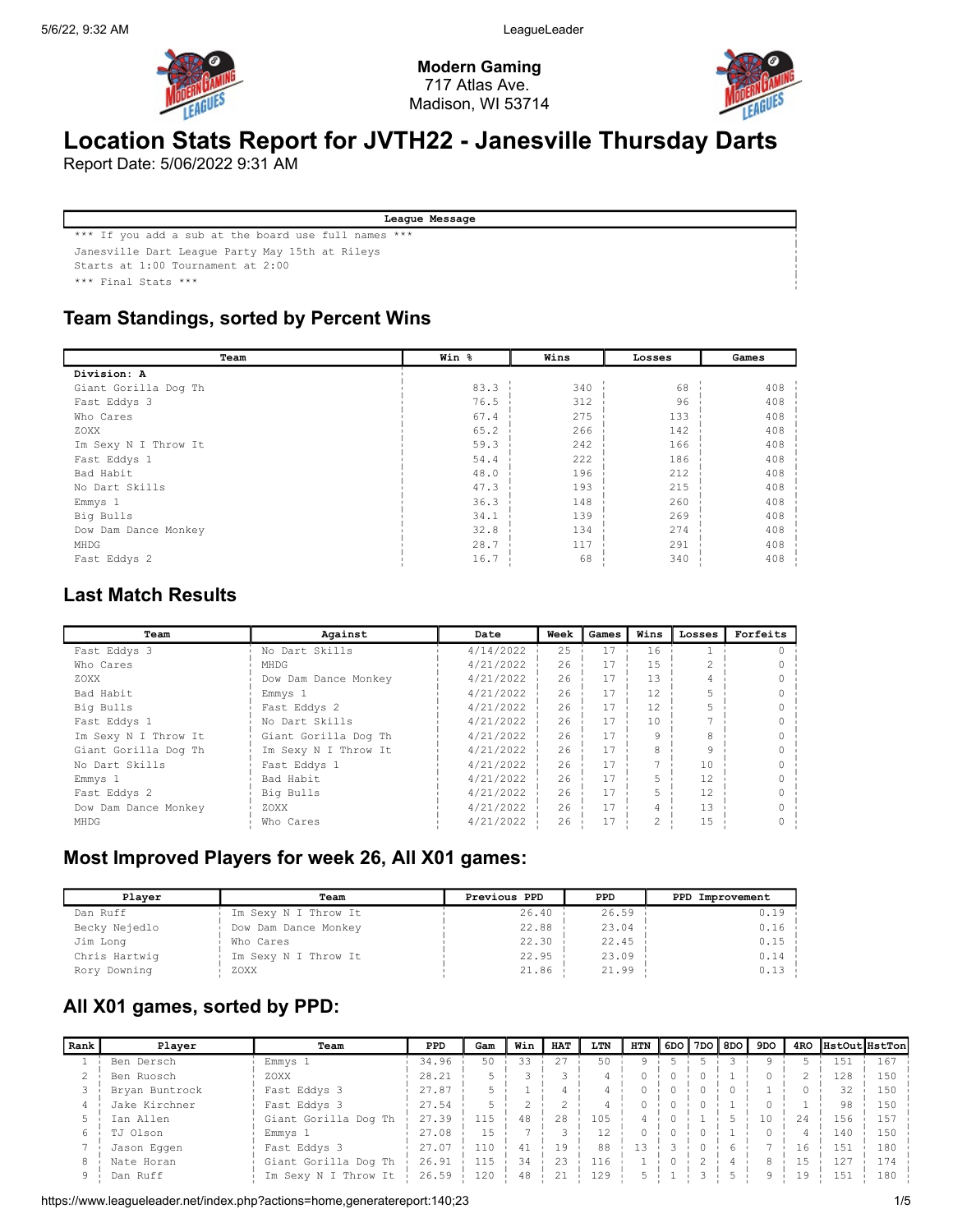

Modern Gaming 717 Atlas Ave. Madison, WI 53714



# Location Stats Report for JVTH22 - Janesville Thursday Darts

Report Date: 5/06/2022 9:31 AM

League Message \*\*\* If you add a sub at the board use full names \*\*\* Janesville Dart League Party May 15th at Rileys Starts at 1:00 Tournament at 2:00 \*\*\* Final Stats \*\*\*

## Team Standings, sorted by Percent Wins

| Team                 | Win % | Wins | Losses | Games |
|----------------------|-------|------|--------|-------|
| Division: A          |       |      |        |       |
| Giant Gorilla Dog Th | 83.3  | 340  | 68     | 408   |
| Fast Eddys 3         | 76.5  | 312  | 96     | 408   |
| Who Cares            | 67.4  | 275  | 133    | 408   |
| ZOXX                 | 65.2  | 266  | 142    | 408   |
| Im Sexy N I Throw It | 59.3  | 242  | 166    | 408   |
| Fast Eddys 1         | 54.4  | 222  | 186    | 408   |
| Bad Habit            | 48.0  | 196  | 212    | 408   |
| No Dart Skills       | 47.3  | 193  | 215    | 408   |
| Emmys 1              | 36.3  | 148  | 260    | 408   |
| Big Bulls            | 34.1  | 139  | 269    | 408   |
| Dow Dam Dance Monkey | 32.8  | 134  | 274    | 408   |
| MHDG                 | 28.7  | 117  | 291    | 408   |
| Fast Eddys 2         | 16.7  | 68   | 340    | 408   |

### Last Match Results

| Team                 | Against              | Date      | Week | Games | Wins | Losses         | Forfeits |
|----------------------|----------------------|-----------|------|-------|------|----------------|----------|
| Fast Eddys 3         | No Dart Skills       | 4/14/2022 | 25   | 17    | 16   |                |          |
| Who Cares            | MHDG                 | 4/21/2022 | 26   | 17    | 15   |                |          |
| ZOXX                 | Dow Dam Dance Monkey | 4/21/2022 | 26   | 17    | 13   |                |          |
| Bad Habit            | Emmys <sub>1</sub>   | 4/21/2022 | 26   | 17    | 12   |                |          |
| Big Bulls            | Fast Eddys 2         | 4/21/2022 | 26   | 17    | 12   |                |          |
| Fast Eddys 1         | No Dart Skills       | 4/21/2022 | 26   | 17    | 10   |                |          |
| Im Sexy N I Throw It | Giant Gorilla Dog Th | 4/21/2022 | 26   | 17    | 9    |                |          |
| Giant Gorilla Dog Th | Im Sexy N I Throw It | 4/21/2022 | 26   | 17    | 8    |                |          |
| No Dart Skills       | Fast Eddys 1         | 4/21/2022 | 26   | 17    |      | 1 <sub>0</sub> |          |
| $Emmys$ 1            | Bad Habit            | 4/21/2022 | 26   | 17    |      | 12             |          |
| Fast Eddys 2         | Big Bulls            | 4/21/2022 | 26   | 17    |      | 12             |          |
| Dow Dam Dance Monkey | ZOXX                 | 4/21/2022 | 26   | 17    | 4    | 13             |          |
| MHDG                 | Who Cares            | 4/21/2022 | 26   | 17    | 2    | 15             |          |

## Most Improved Players for week 26, All X01 games:

| Plaver        | Team                 | Previous PPD | <b>PPD</b> | PPD Improvement |
|---------------|----------------------|--------------|------------|-----------------|
| Dan Ruff      | Im Sexy N I Throw It | 26.40        | 26.59      | 0.19            |
| Becky Nejedlo | Dow Dam Dance Monkey | 22.88        | 23.04      | 0.16            |
| Jim Long      | Who Cares            | 22.30        | 22.45      | 0.15            |
| Chris Hartwig | Im Sexy N I Throw It | 22.95        | 23.09      | 0.14            |
| Rory Downing  | ZOXX                 | 21.86        | 21.99      | 0.13            |

## All X01 games, sorted by PPD:

| Rank | Plaver         | Team                 | <b>PPD</b> | Gam | Win | <b>HAT</b> | LTN | HTN | 6DO I | 7DO <b> </b> 8DO | 9DO |     | 4RO HstOutHstTon |     |
|------|----------------|----------------------|------------|-----|-----|------------|-----|-----|-------|------------------|-----|-----|------------------|-----|
|      | Ben Dersch     | Emmys 1              | 34.96      | 50  | 33  | 27         | 50  |     |       |                  |     |     | 1.51             | 167 |
|      | Ben Ruosch     | ZOXX                 | 28.21      |     |     |            |     |     |       |                  |     |     | 128              | 150 |
|      | Bryan Buntrock | Fast Eddys 3         | 27.87      |     |     |            |     |     |       |                  |     |     | 32               | 150 |
|      | Jake Kirchner  | Fast Eddys 3         | 27.54      |     |     |            |     |     |       |                  |     |     | 98               | 150 |
|      | Ian Allen      | Giant Gorilla Dog Th | 27.39      | 115 | 48  | 2.8        | 105 |     |       |                  | 10  | 2.4 | 156              | 157 |
|      | TJ Olson       | Emmys 1              | 27.08      | 1.5 |     |            | 12  |     |       |                  |     |     | 140              | 150 |
|      | Jason Eqqen    | Fast Eddys 3         | 27.07      | 110 | 41  | 19         | 88  |     |       |                  |     | 16  | 1.51             | 180 |
|      | Nate Horan     | Giant Gorilla Dog Th | 26.91      | 115 | 34  | 23         | 116 |     |       |                  | 8   | 15  | 127              |     |
|      | Dan Ruff       | Im Sexy N I Throw It | 26.59      | 120 | 48  | 21         | 129 |     |       |                  | q   | 19  | 15 <sup>7</sup>  | 180 |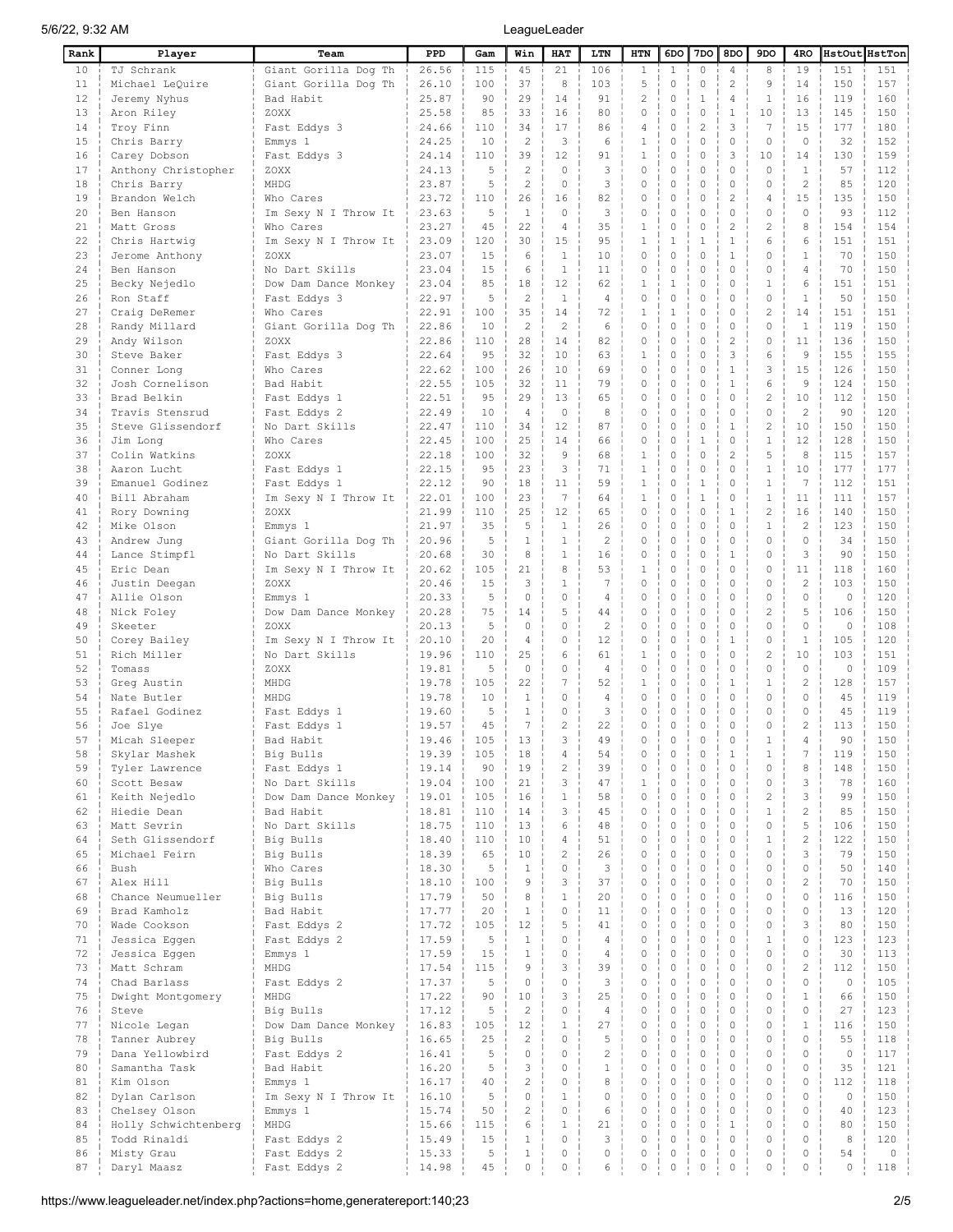| Rank     | Player                             | Team                                 | PPD            | Gam       | Win                           | HAT                  | LTN                 | HTN                          | 6DO                 | 7DO                | 8DO                          | 9DO                        | 4RO                     |                   | HstOut HstTon |
|----------|------------------------------------|--------------------------------------|----------------|-----------|-------------------------------|----------------------|---------------------|------------------------------|---------------------|--------------------|------------------------------|----------------------------|-------------------------|-------------------|---------------|
| 10       | TJ Schrank                         | Giant Gorilla Dog Th                 | 26.56          | 115       | 45                            | 21                   | 106                 | $\mathbf{1}$                 | $\mathbf{1}$        | 0                  | $\overline{4}$               | 8                          | 19                      | 151               | 151           |
| 11       | Michael LeQuire                    | Giant Gorilla Dog Th                 | 26.10          | 100       | 37                            | 8                    | 103                 | 5                            | $\circ$             | 0                  | $\sqrt{2}$                   | 9                          | 14                      | 150               | 157           |
| 12       | Jeremy Nyhus                       | Bad Habit                            | 25.87          | 90        | 29                            | 14                   | 91                  | $\overline{c}$               | $\Omega$            | 1                  | $\overline{4}$               | $\mathbf{1}$               | 16                      | 119               | 160           |
| 13       | Aron Riley                         | ZOXX                                 | 25.58          | 85        | 33                            | 16                   | 80                  | $\Omega$                     | $\circ$             | $\Omega$           | $\mathbf{1}$                 | 10                         | 13                      | 145               | 150           |
| 14       | Troy Finn                          | Fast Eddys 3                         | 24.66          | 110       | 34                            | 17                   | 86                  | $\overline{4}$               | $\circ$             | $\overline{c}$     | 3                            | 7                          | 15                      | 177               | 180           |
| 15       | Chris Barry                        | Emmys 1                              | 24.25          | 10        | $\overline{c}$<br>39          | 3<br>12              | 6                   | 1                            | $\circ$             | $\Omega$<br>0      | $\circ$<br>3                 | $\circ$                    | $\Omega$                | 32                | 152           |
| 16<br>17 | Carey Dobson                       | Fast Eddys 3                         | 24.14<br>24.13 | 110<br>5  | $\overline{2}$                | $\cap$               | 91<br>3             | $\mathbf{1}$<br>$\circ$      | $\circ$<br>$\circ$  | 0                  | $\circ$                      | 10<br>$\Omega$             | 14<br>1                 | 130<br>57         | 159<br>112    |
| 18       | Anthony Christopher<br>Chris Barry | ZOXX<br>MHDG                         | 23.87          | 5         | $\overline{c}$                | $\Omega$             | 3                   | $\circ$                      | $\circ$             | 0                  | $\mathbf{0}$                 | $\Omega$                   | $\overline{c}$          | 85                | 120           |
| 19       | Brandon Welch                      | Who Cares                            | 23.72          | 110       | 26                            | 16                   | 82                  | $\circ$                      | $\circ$             | 0                  | $\overline{2}$               | 4                          | 15                      | 135               | 150           |
| 20       | Ben Hanson                         | Im Sexy N I Throw It                 | 23.63          | 5         | $\mathbf{1}$                  | $\Omega$             | 3                   | $\circ$                      | $\circ$             | 0                  | $\mathbf{0}$                 | $\Omega$                   | $\Omega$                | 93                | 112           |
| 21       | Matt Gross                         | Who Cares                            | 23.27          | 45        | 22                            | $\overline{4}$       | 35                  | $\mathbf{1}$                 | $\circ$             | 0                  | $\overline{2}$               | $\overline{c}$             | 8                       | 154               | 154           |
| 22       | Chris Hartwig                      | Im Sexy N I Throw It                 | 23.09          | 120       | 30                            | 1.5                  | 95                  | $\mathbf{1}$                 | $\mathbf{1}$        | $\mathbf{1}$       | $\mathbf{1}$                 | 6                          | 6                       | 151               | 151           |
| 23       | Jerome Anthony                     | ZOXX                                 | 23.07          | 15        | 6                             | $\mathbf{1}$         | 10                  | $\circ$                      | $\circ$             | $\Omega$           | $\mathbf{1}$                 | $\Omega$                   | $\mathbf{1}$            | 70                | 150           |
| 24       | Ben Hanson                         | No Dart Skills                       | 23.04          | 15        | 6                             | $\mathbf{1}$         | 11                  | $\circ$                      | $\circ$             | 0                  | $\mathbf{0}$                 | $\circ$                    | $\overline{4}$          | 70                | 150           |
| 25       | Becky Nejedlo                      | Dow Dam Dance Monkey                 | 23.04          | 85        | 18                            | 12                   | 62                  | $\mathbf{1}$                 | $\mathbf{1}$        | $\Omega$           | $\mathbf{0}$                 | $\mathbf{1}$               | 6                       | 151               | 151           |
| 26       | Ron Staff                          | Fast Eddys 3                         | 22.97          | 5         | $\overline{2}$                | $\mathbf{1}$         | $\overline{4}$      | $\circ$                      | 0                   | 0                  | $\circ$                      | $\circ$                    | $\mathbf{1}$            | 50                | 150           |
| 27       | Craig DeRemer                      | Who Cares                            | 22.91          | 100       | 35                            | 14                   | 72                  | $\mathbf{1}$                 | $\mathbf{1}$        | $\Omega$           | $\theta$                     | $\overline{c}$             | 14                      | 151               | 151           |
| 28       | Randy Millard                      | Giant Gorilla Dog Th                 | 22.86          | 10        | $\overline{c}$                | $\overline{c}$       | 6                   | $\circ$                      | 0                   | $\Omega$           | $\mathbf 0$                  | $\Omega$                   | $\mathbf{1}$            | 119               | 150           |
| 29       | Andy Wilson                        | ZOXX                                 | 22.86          | 110       | 28                            | 14                   | 82                  | $\circ$                      | $\mathbf 0$         | $\Omega$           | $\overline{c}$               | $\Omega$                   | 11                      | 136               | 150           |
| 30       | Steve Baker                        | Fast Eddys 3                         | 22.64          | 9.5       | 32                            | 10                   | 63                  | 1                            | 0                   | 0                  | 3                            | 6                          | 9                       | 155               | 155           |
| 31       | Conner Long                        | Who Cares                            | 22.62          | 100       | 26                            | 10                   | 69                  | $\Omega$                     | O                   | $\Omega$           | $\mathbf{1}$                 | 3                          | 15                      | 126               | 150           |
| 32       | Josh Cornelison                    | Bad Habit                            | 22.55          | 105       | 32                            | 11                   | 79                  | $\circ$                      | $\circ$             | 0                  | $\mathbf{1}$                 | 6                          | 9                       | 124               | 150           |
| 33       | Brad Belkin                        | Fast Eddys 1                         | 22.51          | 95        | 29                            | 13                   | 65                  | $\circ$                      | $\circ$             | $\Omega$           | $\circ$                      | $\overline{c}$             | 10                      | 112               | 150           |
| 34       | Travis Stensrud                    | Fast Eddys 2                         | 22.49          | 10        | $\overline{4}$                | $\circ$              | 8                   | $\circ$                      | $\circ$             | 0                  | $\circ$                      | $\circ$                    | $\overline{c}$          | 90                | 120           |
| 35       | Steve Glissendorf                  | No Dart Skills                       | 22.47          | 110       | 34                            | 12                   | 87                  | $\circ$                      | $\circ$             | 0                  | $\mathbf{1}$                 | $\overline{c}$             | 10                      | 150               | 150           |
| 36       | Jim Long                           | Who Cares                            | 22.45          | 100       | 25                            | 14                   | 66                  | $\circ$                      | $\circ$             | $\mathbf{1}$       | $\circ$                      | $\mathbf{1}$               | 12                      | 128               | 150           |
| 37       | Colin Watkins                      | ZOXX                                 | 22.18          | 100<br>95 | 32<br>23                      | 9<br>3               | 68<br>71            | $\mathbf{1}$<br>$\mathbf{1}$ | $\circ$<br>$\circ$  | 0<br>0             | $\overline{c}$<br>$\circ$    | 5<br>$\mathbf{1}$          | 8<br>10                 | 115               | 157<br>177    |
| 38<br>39 | Aaron Lucht<br>Emanuel Godinez     | Fast Eddys 1                         | 22.15<br>22.12 | 90        | 18                            | 11                   | 59                  | $\mathbf{1}$                 | 0                   | $1\,$              | $\circ$                      | $\mathbf{1}$               | $\overline{7}$          | 177<br>112        | 151           |
| 40       | Bill Abraham                       | Fast Eddys 1<br>Im Sexy N I Throw It | 22.01          | 100       | 23                            | 7                    | 64                  | $\mathbf{1}$                 | $\circ$             | $\mathbf{1}$       | $\Omega$                     | $\mathbf{1}$               | 11                      | 111               | 157           |
| 41       | Rory Downing                       | ZOXX                                 | 21.99          | 110       | 25                            | 12                   | 65                  | $\circ$                      | $\Omega$            | 0                  | $\mathbf{1}$                 | $\overline{c}$             | 16                      | 140               | 150           |
| 42       | Mike Olson                         | Emmys 1                              | 21.97          | 35        | 5                             | $\mathbf{1}$         | 26                  | $\circ$                      | $\circ$             | $\Omega$           | $\mathbf{0}$                 | $\mathbf{1}$               | $\overline{2}$          | 123               | 150           |
| 43       | Andrew Jung                        | Giant Gorilla Dog Th                 | 20.96          | 5         | $1\,$                         | $\mathbf{1}$         | $\overline{c}$      | $\Omega$                     | $\mathbf 0$         | 0                  | $\mathbf{0}$                 | $\circ$                    | $\circ$                 | 34                | 150           |
| 44       | Lance Stimpfl                      | No Dart Skills                       | 20.68          | 30        | 8                             | $\mathbf{1}$         | 16                  | $\Omega$                     | $\circ$             | $\Omega$           | $\mathbf{1}$                 | $\Omega$                   | 3                       | 90                | 150           |
| 45       | Eric Dean                          | Im Sexy N I Throw It                 | 20.62          | 105       | 21                            | 8                    | 53                  | $\mathbf{1}$                 | $\Omega$            | 0                  | $\mathbf{0}$                 | $\circ$                    | 11                      | 118               | 160           |
| 46       | Justin Deegan                      | ZOXX                                 | 20.46          | 15        | 3                             | $\mathbf{1}$         | 7                   | $\Omega$                     | $\circ$             | $\Omega$           | $\Omega$                     | $\Omega$                   | $\overline{c}$          | 103               | 150           |
| 47       | Allie Olson                        | Emmys 1                              | 20.33          | 5         | $\mathbf 0$                   | $\Omega$             | $\overline{4}$      | $\Omega$                     | 0                   | $\Omega$           | $\Omega$                     | $\mathbf 0$                | $\circ$                 | $\circ$           | 120           |
| 48       | Nick Foley                         | Dow Dam Dance Monkey                 | 20.28          | 75        | 14                            | 5                    | 44                  | $\Omega$                     | $\Omega$            | $\Omega$           | $\Omega$                     | $\overline{c}$             | 5                       | 106               | 150           |
| 49       | Skeeter                            | ZOXX                                 | 20.13          | 5         | $\Omega$                      | $\Omega$             | $\overline{c}$      | $\circ$                      | $\Omega$            | $\Omega$           | $\Omega$                     | $\Omega$                   | $\Omega$                | $\circ$           | 108           |
| 50       | Corey Bailey                       | Im Sexy N I Throw It                 | 20.10          | 20        | $\overline{4}$                | $\Omega$             | 12                  | $\circ$                      | $\circ$             | $\Omega$           | 1                            | $\Omega$                   | $\mathbf{1}$            | 105               | 120           |
| 51       | Rich Miller                        | No Dart Skills                       | 19.96          | 110       | 25                            | 6                    | 61                  | 1                            | $\circ$             | 0                  | $\circ$                      | $\overline{c}$             | 10                      | 103               | 151           |
| 52       | Tomass                             | ZOXX                                 | 19.81          | 5         | $\circ$                       | $\Omega$             | $\overline{4}$      | $\circ$                      | $\circ$             | $\Omega$           | $\circ$                      | $\Omega$                   | $\Omega$                | $\circ$           | 109           |
| 53       | Greg Austin                        | MHDG                                 | 19.78          | 105       | 22                            | 7                    | 52                  | 1                            | $\circ$             | 0                  | $\mathbf{1}$                 | 1                          | $\overline{2}$          | 128               | 157           |
| 54       | Nate Butler                        | MHDG                                 | 19.78          | 10        | $\mathbf{1}$                  | $\circ$              | $\overline{4}$      | $\circ$                      | $\circ$             | 0                  | $\circ$                      | $\circ$                    | $\circ$                 | 45                | 119           |
| 55       | Rafael Godinez                     | Fast Eddys 1                         | 19.60          | 5         | $\mathbf{1}$                  | $\Omega$             | 3                   | $\circ$                      | $\circ$             | 0                  | $\circ$                      | $\circ$                    | $\circ$                 | 45                | 119           |
| 56       | Joe Slye                           | Fast Eddys 1                         | 19.57          | 45        | 7                             | $\overline{c}$       | 22                  | $\Omega$                     | 0                   | $\Omega$           | $\circ$                      | $\circ$                    | $\overline{c}$          | 113               | 150           |
| 57       | Micah Sleeper                      | Bad Habit                            | 19.46          | 105       | 13                            | $\mathcal{L}$        | 49                  | $\Omega$                     | 0                   | $\Omega$           | $\Omega$                     | $\mathbf{1}$               | $\Delta$                | 90                | 150           |
| 58<br>59 | Skylar Mashek                      | Big Bulls<br>Fast Eddys 1            | 19.39          | 105<br>90 | 18<br>19                      | 4<br>$\overline{c}$  | 54<br>39            | $\circ$<br>$\mathbb O$       | 0<br>$\mathbb O$    | 0<br>$\circ$       | $\mathbf{1}$<br>$\circ$      | $\mathbf{1}$<br>$\circ$    | $\sqrt{ }$<br>8         | 119<br>148        | 150<br>150    |
| 60       | Tyler Lawrence<br>Scott Besaw      | No Dart Skills                       | 19.14<br>19.04 | 100       | 21                            | 3                    | 47                  | $1\,$                        | $\mathsf{O}\xspace$ | $\circ$            | $\mathbf{0}$                 | $\mathbf{0}$               | 3                       | 78                | 160           |
| 61       | Keith Nejedlo                      | Dow Dam Dance Monkey                 | 19.01          | 105       | 16                            | $1\,$                | 58                  | $\mathbf 0$                  | $\circ$             | 0                  | $\mathbf{0}$                 | $\overline{c}$             | 3                       | 99                | 150           |
| 62       | Hiedie Dean                        | Bad Habit                            | 18.81          | 110       | 14                            | 3                    | 45                  | $\circ$                      | $\circ$             | $\circ$            | $\circ$                      | $\mathbf{1}$               | $\mathbf{2}$            | 85                | 150           |
| 63       | Matt Sevrin                        | No Dart Skills                       | 18.75          | 110       | 13                            | 6                    | 48                  | $\Omega$                     | $\circ$             | 0                  | $\circ$                      | $\circ$                    | 5                       | 106               | 150           |
| 64       | Seth Glissendorf                   | Big Bulls                            | 18.40          | 110       | 10                            | 4                    | 51                  | $\circ$                      | $\Omega$            | $\circ$            | $\mathbf 0$                  | $\mathbf{1}$               | $\overline{c}$          | 122               | 150           |
| 65       | Michael Feirn                      | Big Bulls                            | 18.39          | 65        | 10                            | $\overline{2}$       | 26                  | $\Omega$                     | $\circ$             | $\Omega$           | $\mathbf{0}$                 | $\circ$                    | 3                       | 79                | 150           |
| 66       | Bush                               | Who Cares                            | 18.30          | 5         | $\mathbf{1}$                  | $\Omega$             | 3                   | $\circ$                      | $\Omega$            | $\circ$            | $\Omega$                     | $\mathbf 0$                | $\mathbf{0}$            | 50                | 140           |
| 67       | Alex Hill                          | Big Bulls                            | 18.10          | 100       | 9                             | 3                    | 37                  | $\Omega$                     | 0                   | $\Omega$           | $\Omega$                     | $\Omega$                   | $\overline{c}$          | 70                | 150           |
| 68       | Chance Neumueller                  | Big Bulls                            | 17.79          | 50        | 8                             | $\mathbf{1}$         | 20                  | $\circ$                      | 0                   | $\circ$            | $\mathbf 0$                  | $\Omega$                   | $\mathbf{0}$            | 116               | 150           |
| 69       | Brad Kamholz                       | Bad Habit                            | 17.77          | 20        | $\mathbf{1}$                  | $\Omega$             | 11                  | $\circ$                      | $\circ$             | $\Omega$           | $\circ$                      | $\mathbf 0$                | $\mathbf{0}$            | 13                | 120           |
| 70       | Wade Cookson                       | Fast Eddys 2                         | 17.72          | 105       | 12                            | 5                    | 41                  | $\circ$                      | $\circ$             | 0                  | $\circ$                      | $\circ$                    | 3                       | 80                | 150           |
| 71       | Jessica Eggen                      | Fast Eddys 2                         | 17.59          | 5         | $\mathbf{1}$                  | $\mathbf 0$          | $\overline{4}$      | $\circ$                      | $\circ$             | 0                  | $\mathbf{0}$                 | $\mathbf{1}$               | $\mathbf{0}$            | 123               | 123           |
| 72       | Jessica Eggen                      | Emmys 1                              | 17.59          | 15        | $\mathbf{1}$                  | $\circ$              | $\overline{4}$      | $\mathbf 0$                  | $\circ$             | $\circ$            | $\circ$                      | $\circ$                    | $\circ$                 | 30                | 113           |
| 73       | Matt Schram                        | MHDG                                 | 17.54          | 115       | 9                             | 3                    | 39                  | $\circ$                      | $\circ$             | $\circ$            | $\mathbf{0}$                 | $\mathbf 0$                | $\overline{c}$          | 112               | 150           |
| 74       | Chad Barlass                       | Fast Eddys 2                         | 17.37          | 5         | $\mathbf 0$                   | $\circ$              | 3                   | $\circ$                      | $\circ$             | $\circ$            | $\mathbf{0}$                 | $\circ$                    | $\circ$                 | $\circ$           | 105           |
| 75       | Dwight Montgomery                  | MHDG                                 | 17.22          | 90        | 10                            | 3                    | 25                  | $\circ$                      | $\circ$             | $\circ$            | $\mathbf{0}$                 | $\mathbf 0$                | $\mathbf{1}$            | 66                | 150           |
| 76       | Steve                              | Big Bulls                            | 17.12          | 5         | $\overline{2}$                | $\Omega$             | $\overline{4}$      | $\Omega$                     | $\circ$             | $\circ$            | $\Omega$                     | $\circ$                    | $\circ$                 | 27                | 123           |
| 77       | Nicole Legan                       | Dow Dam Dance Monkey                 | 16.83          | 105       | 12                            | $\mathbf{1}$         | 27                  | $\mathbf 0$                  | $\circ$             | $\circ$            | $\mathbf{0}$                 | $\mathbf 0$                | $\,1\,$                 | 116               | 150           |
| 78       | Tanner Aubrey                      | Big Bulls                            | 16.65          | 25<br>5   | $\overline{c}$<br>$\mathbf 0$ | $\Omega$<br>$\Omega$ | 5<br>$\overline{c}$ | $\mathbf 0$<br>$\circ$       | $\circ$<br>$\circ$  | $\circ$<br>$\circ$ | $\mathbf{0}$<br>$\mathbf{0}$ | $\mathbf 0$<br>$\mathbf 0$ | $\mathbf{0}$<br>$\circ$ | 55<br>$\mathbb O$ | 118           |
| 79<br>80 | Dana Yellowbird<br>Samantha Task   | Fast Eddys 2<br>Bad Habit            | 16.41<br>16.20 | 5         | 3                             | $\Omega$             | $\mathbf{1}$        | $\circ$                      | $\circ$             | $\circ$            | $\mathbf{0}$                 | $\circ$                    | $\mathbf{0}$            | 35                | 117<br>121    |
| 81       | Kim Olson                          | Emmys 1                              | 16.17          | 40        | $\overline{c}$                | $\mathbf 0$          | 8                   | $\circ$                      | $\circ$             | 0                  | $\circ$                      | $\mathbf 0$                | $\circ$                 | 112               | 118           |
| 82       | Dylan Carlson                      | Im Sexy N I Throw It                 | 16.10          | 5         | $\mathbf 0$                   | $\mathbf{1}$         | $\mathbf 0$         | $\circ$                      | $\circ$             | 0                  | $\circ$                      | $\mathbf 0$                | $\circ$                 | $\circ$           | 150           |
| 83       | Chelsey Olson                      | Emmys 1                              | 15.74          | 50        | $\overline{c}$                | 0                    | 6                   | $\circ$                      | $\circ$             | $\circ$            | $\mathbf{0}$                 | $\mathbf 0$                | $\circ$                 | 40                | 123           |
| 84       | Holly Schwichtenberg               | MHDG                                 | 15.66          | 115       | 6                             | $\mathbf{1}$         | 21                  | $\Omega$                     | $\circ$             | $\circ$            | $\mathbf{1}$                 | $\mathbf 0$                | $\circ$                 | 80                | 150           |
| 85       | Todd Rinaldi                       | Fast Eddys 2                         | 15.49          | 15        | $1\,$                         | $\Omega$             | 3                   | $\circ$                      | $\circ$             | $\circ$            | $\mathbf{0}$                 | $\mathbf 0$                | $\circ$                 | 8                 | 120           |
| 86       | Misty Grau                         | Fast Eddys 2                         | 15.33          | 5         | $\mathbf 1$                   | $\circ$              | 0                   | $\circ$                      | 0                   | 0                  | $\mathbf{0}$                 | $\mathbf 0$                | $\circ$                 | 54                | $\circ$       |
| 87       | Daryl Maasz                        | Fast Eddys 2                         | 14.98          | 45        | $\mathbb O$                   | 0                    | 6                   | 0                            | 0                   | $\mathbb O$        | $\mathbb O$                  | $\mathsf{O}\xspace$        | $\circ$                 | 0                 | 118           |
|          |                                    |                                      |                |           |                               |                      |                     |                              |                     |                    |                              |                            |                         |                   |               |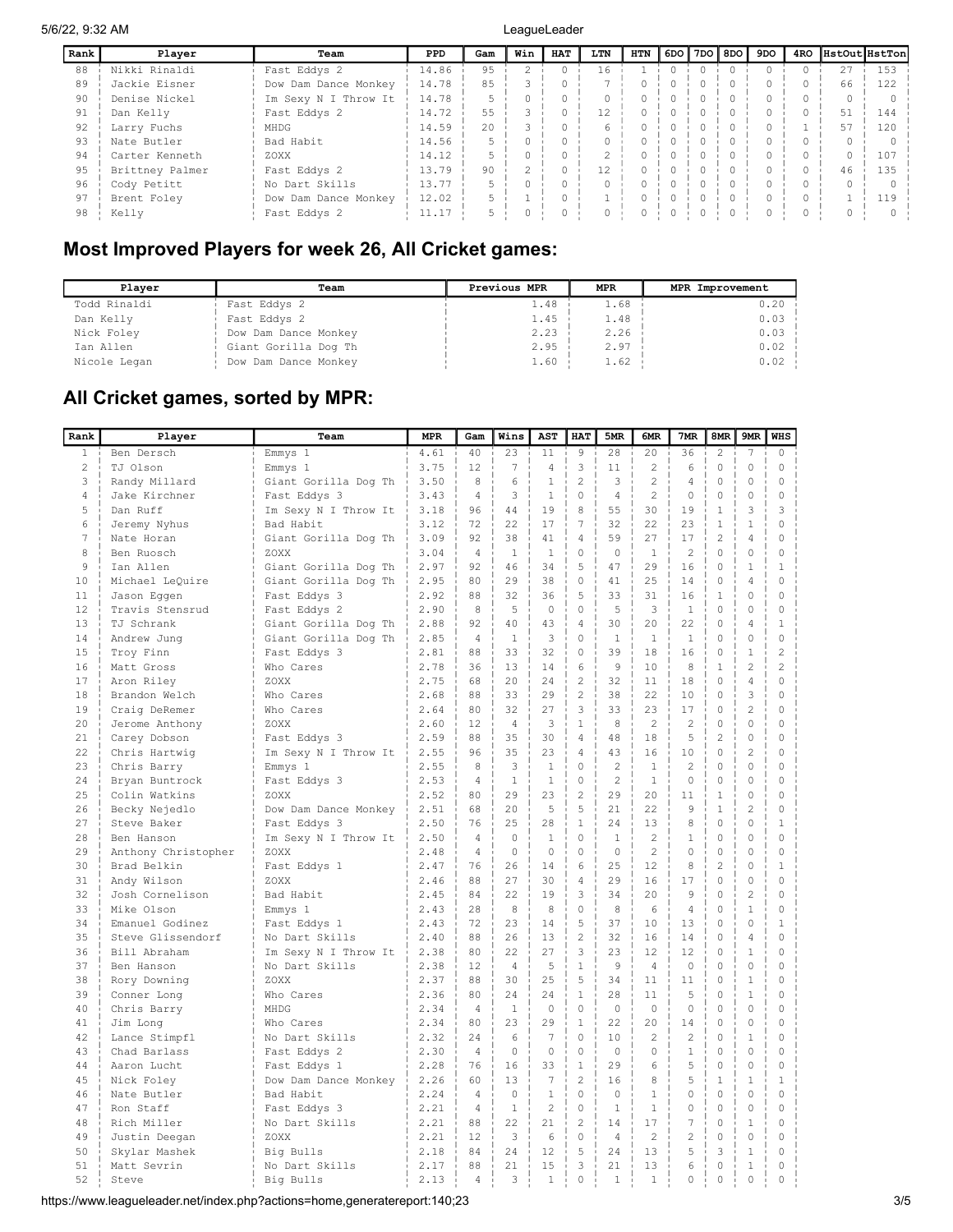| Rank | Player          | Team                 | <b>PPD</b> | Gam | Win | <b>HAT</b> | LTN | <b>HTN</b> | 6DO <b> </b> | 7DO 8DO | 9DO | 4RO | HstOutHstTon |     |
|------|-----------------|----------------------|------------|-----|-----|------------|-----|------------|--------------|---------|-----|-----|--------------|-----|
| 88   | Nikki Rinaldi   | Fast Eddys 2         | 14.86      | 9.5 |     |            | 16  |            |              |         |     |     | 27           | 153 |
| 89   | Jackie Eisner   | Dow Dam Dance Monkey | 14.78      | 85  |     |            |     |            |              |         |     |     | 66           | 122 |
| 90   | Denise Nickel   | Im Sexy N I Throw It | 14.78      |     |     |            |     |            |              |         |     |     |              |     |
| 91   | Dan Kelly       | Fast Eddys 2         | 14.72      | 55  |     |            | 12  |            |              |         |     |     | 51           | 144 |
| 92   | Larry Fuchs     | MHDG                 | 14.59      | 2.0 |     |            |     |            |              |         |     |     |              | 120 |
| 93   | Nate Butler     | Bad Habit            | 14.56      |     |     |            |     |            |              |         |     |     |              |     |
| 94   | Carter Kenneth  | ZOXX                 | 14.12      |     |     |            |     |            |              |         |     |     |              | 107 |
| 95   | Brittney Palmer | Fast Eddys 2         | 13.79      | 90  |     |            | 12  |            |              |         |     |     | 46           | 135 |
| 96   | Cody Petitt     | No Dart Skills       | 13.77      |     |     |            |     |            |              |         |     |     |              |     |
| 97   | Brent Foley     | Dow Dam Dance Monkey | 12.02      |     |     |            |     |            |              |         |     |     |              |     |
| 98   | Kelly           | Fast Eddys 2         | 11.17      |     |     |            |     |            |              |         |     |     |              |     |

## Most Improved Players for week 26, All Cricket games:

| Plaver       | Team                 | Previous MPR | MPR  | MPR Improvement |
|--------------|----------------------|--------------|------|-----------------|
| Todd Rinaldi | Fast Eddys 2         | 1.48         | 1.68 | 0.20            |
| Dan Kelly    | Fast Eddys 2         | 1.45         | 1.48 | $0.03 -$        |
| Nick Foley   | Dow Dam Dance Monkey | 2.23         | 2.26 | $0.03 -$        |
| Ian Allen    | Giant Gorilla Dog Th | 2.95         | 2.97 | $0.02 -$        |
| Nicole Legan | Dow Dam Dance Monkey | 1.60         | 1.62 | $0.02 -$        |

## All Cricket games, sorted by MPR:

| Rank         | Player              | Team                 | <b>MPR</b> | Gam            | Wins           | AST            | HAT            | 5MR            | 6MR            | 7MR            | 8MR            | 9MR                      | <b>WHS</b>     |
|--------------|---------------------|----------------------|------------|----------------|----------------|----------------|----------------|----------------|----------------|----------------|----------------|--------------------------|----------------|
| $\mathbf{1}$ | Ben Dersch          | Emmys 1              | 4.61       | 40             | 23             | 11             | $\overline{9}$ | 28             | 20             | 36             | $\overline{c}$ | $\overline{\phantom{a}}$ | $\circ$        |
| 2            | TJ Olson            | Emmys 1              | 3.75       | 12             | $\overline{7}$ | $\overline{4}$ | 3              | 11             | $\overline{c}$ | 6              | $\mathbb O$    | $\mathbb O$              | $\mathbb O$    |
| 3            | Randy Millard       | Giant Gorilla Dog Th | 3.50       | 8              | 6              | $\mathbf{1}$   | $\overline{2}$ | 3              | $\overline{2}$ | $\overline{4}$ | $\circ$        | 0                        | $\circ$        |
| 4            | Jake Kirchner       | Fast Eddys 3         | 3.43       | $\overline{4}$ | 3              | $\mathbf{1}$   | $\circ$        | $\overline{4}$ | $\mathfrak{D}$ | 0              | 0              | 0                        | $\circ$        |
| 5            | Dan Ruff            | Im Sexy N I Throw It | 3.18       | 96             | 44             | 19             | 8              | 55             | 30             | 19             | $\mathbf{1}$   | 3                        | 3              |
| 6            | Jeremy Nyhus        | Bad Habit            | 3.12       | 72             | 22             | 17             | $\overline{7}$ | 32             | 22             | 23             | $\mathbf{1}$   | $\mathbf{1}$             | $\circ$        |
| $\sqrt{ }$   | Nate Horan          | Giant Gorilla Dog Th | 3.09       | 92             | 38             | 41             | $\overline{4}$ | 59             | 27             | 17             | $\overline{c}$ | $\overline{4}$           | $\mathbf 0$    |
| 8            | Ben Ruosch          | ZOXX                 | 3.04       | $\overline{4}$ | $\mathbf{1}$   | $\mathbf{1}$   | $\circ$        | $\circ$        | 1              | $\overline{c}$ | 0              | 0                        | $\circ$        |
| 9            | Ian Allen           | Giant Gorilla Dog Th | 2.97       | 92             | 46             | 34             | 5              | 47             | 29             | 16             | 0              | $\mathbf{1}$             | $\mathbf{1}$   |
| 10           | Michael LeQuire     | Giant Gorilla Dog Th | 2.95       | 80             | 29             | 38             | $\Omega$       | 41             | 2.5            | 14             | $\Omega$       | 4                        | $\circ$        |
| 11           | Jason Eqqen         | Fast Eddys 3         | 2.92       | 88             | 32             | 36             | 5              | 33             | 31             | 16             | $\mathbf{1}$   | 0                        | $\mathbf 0$    |
| 12           | Travis Stensrud     | Fast Eddys 2         | 2.90       | 8              | 5              | $\circ$        | $\circ$        | 5              | 3              | $\mathbf{1}$   | 0              | 0                        | $\mathbf 0$    |
| 13           | TJ Schrank          | Giant Gorilla Dog Th | 2.88       | 92             | 40             | 43             | $\overline{4}$ | 30             | 20             | 22             | $\Omega$       | 4                        | $\mathbf{1}$   |
| 14           | Andrew Jung         | Giant Gorilla Dog Th | 2.85       | $\overline{4}$ | $\mathbf{1}$   | 3              | $\circ$        | $\mathbf{1}$   | $\mathbf{1}$   | $\mathbf{1}$   | 0              | 0                        | $\circ$        |
| 15           | Troy Finn           | Fast Eddys 3         | 2.81       | 88             | 33             | 32             | $\Omega$       | 39             | 18             | 16             | $\Omega$       | $\mathbf{1}$             | $\overline{c}$ |
| 16           | Matt Gross          | Who Cares            | 2.78       | 36             | 13             | 14             | 6              | 9              | 10             | 8              | $\mathbf{1}$   | $\overline{c}$           | $\overline{2}$ |
| 17           | Aron Riley          | ZOXX                 | 2.75       | 68             | 20             | 24             | $\overline{c}$ | 32             | 11             | 18             | 0              | $\overline{4}$           | $\mathbf 0$    |
| 18           | Brandon Welch       | Who Cares            | 2.68       | 88             | 33             | 2.9            | $\overline{2}$ | 38             | 22             | 10             | $\Omega$       | 3                        | $\Omega$       |
| 19           | Craig DeRemer       | Who Cares            | 2.64       | 80             | 32             | 27             | 3              | 33             | 23             | 17             | 0              | $\overline{c}$           | $\circ$        |
| 20           | Jerome Anthony      | ZOXX                 | 2.60       | 12             | $\overline{A}$ | 3              | $\mathbf{1}$   | 8              | $\mathfrak{D}$ | $\overline{c}$ | $\Omega$       | $\Omega$                 | $\circ$        |
| 21           | Carey Dobson        | Fast Eddys 3         | 2.59       | 88             | 35             | 30             | $\overline{4}$ | 48             | 18             | 5              | $\overline{c}$ | 0                        | $\mathbf 0$    |
| 22           | Chris Hartwig       | Im Sexy N I Throw It | 2.55       | 96             | 35             | 23             | $\overline{4}$ | 43             | 16             | 10             | $\mathbf 0$    | $\overline{c}$           | $\mathbf 0$    |
| 2.3          | Chris Barry         | Emmys 1              | 2.55       | 8              | 3              | $\mathbf{1}$   | $\Omega$       | $\mathfrak{D}$ | $\overline{1}$ | $\mathfrak{D}$ | $\Omega$       | $\Omega$                 | $\Omega$       |
| 24           | Bryan Buntrock      | Fast Eddys 3         | 2.53       | $\overline{4}$ | $\mathbf{1}$   | $\mathbf{1}$   | $\Omega$       | $\mathfrak{D}$ | $\mathbf{1}$   | $\Omega$       | $\Omega$       | 0                        | $\circ$        |
| 25           | Colin Watkins       | ZOXX                 | 2.52       | 80             | 29             | 23             | $\overline{c}$ | 29             | 20             | 11             | $\mathbf{1}$   | $\Omega$                 | $\Omega$       |
| 26           | Becky Nejedlo       | Dow Dam Dance Monkey | 2.51       | 68             | 2.0            | 5              | 5              | 2.1            | 22             | 9              | $\mathbf{1}$   | $\overline{c}$           | $\Omega$       |
| 27           | Steve Baker         | Fast Eddys 3         | 2.50       | 76             | 25             | 28             | $1\,$          | 24             | 13             | 8              | $\mathbb O$    | 0                        | $1\,$          |
| 28           | Ben Hanson          | Im Sexy N I Throw It | 2.50       | $\Delta$       | 0              | $\mathbf{1}$   | $\circ$        | $\mathbf{1}$   | $\overline{2}$ | 1              | $\mathbf 0$    | 0                        | $\circ$        |
| 29           | Anthony Christopher | ZOXX                 | 2.48       | $\overline{4}$ | $\circ$        | $\circ$        | $\circ$        | $\circ$        | $\overline{c}$ | 0              | 0              | 0                        | $\mathbf{0}$   |
| 30           | Brad Belkin         | Fast Eddys 1         | 2.47       | 76             | 26             | 14             | 6              | 25             | 12             | 8              | 2              | $\Omega$                 | 1              |
| 31           | Andy Wilson         | ZOXX                 | 2.46       | 88             | 27             | 30             | $\overline{4}$ | 29             | 16             | 17             | $\circ$        | 0                        | $\circ$        |
| 32           | Josh Cornelison     | Bad Habit            | 2.45       | 84             | 22             | 19             | 3              | 34             | 20             | 9              | 0              | $\overline{c}$           | $\mathbb O$    |
| 33           | Mike Olson          | Emmys 1              | 2.43       | 28             | 8              | 8              | $\circ$        | 8              | 6              | $\overline{4}$ | 0              | $\mathbf{1}$             | $\circ$        |
| 34           | Emanuel Godinez     | Fast Eddys 1         | 2.43       | 72             | 23             | 14             | 5              | 37             | 10             | 13             | 0              | 0                        | $\mathbf{1}$   |
| 35           | Steve Glissendorf   | No Dart Skills       | 2.40       | 88             | 26             | 13             | 2              | 32             | 16             | 14             | $\Omega$       | 4                        | $\circ$        |
| 36           | Bill Abraham        | Im Sexy N I Throw It | 2.38       | 80             | 22             | 27             | 3              | 23             | 12             | 12             | 0              | $\mathbf{1}$             | $\circ$        |
| 37           | Ben Hanson          | No Dart Skills       | 2.38       | 12             | $\overline{4}$ | 5              | $1\,$          | $\overline{9}$ | $\overline{4}$ | $\circ$        | 0              | 0                        | $\mathbf 0$    |
| 38           | Rory Downing        | ZOXX                 | 2.37       | 88             | 30             | 25             | 5              | 34             | 11             | 11             | 0              | $\mathbf{1}$             | $\circ$        |
| 39           | Conner Long         | Who Cares            | 2.36       | 80             | 24             | 24             | $\mathbf{1}$   | 28             | 11             | 5              | 0              | $\mathbf{1}$             | $\circ$        |
| 40           | Chris Barry         | MHDG                 | 2.34       | $\overline{4}$ | $\mathbf{1}$   | $\Omega$       | $\Omega$       | $\Omega$       | $\Omega$       | $\Omega$       | $\Omega$       | $\Omega$                 | $\circ$        |
| 41           | Jim Long            | Who Cares            | 2.34       | 80             | 23             | 29             | $\mathbf{1}$   | 22             | 20             | 14             | 0              | 0                        | $\circ$        |
| 42           | Lance Stimpfl       | No Dart Skills       | 2.32       | 24             | 6              | 7              | $\circ$        | 10             | $\overline{c}$ | $\overline{2}$ | 0              | $\mathbf{1}$             | $\mathbf 0$    |
| 43           | Chad Barlass        | Fast Eddys 2         | 2.30       | $\overline{4}$ | $\Omega$       | $\Omega$       | $\Omega$       | $\Omega$       | $\Omega$       | $\mathbf{1}$   | $\Omega$       | $\Omega$                 | $\circ$        |
| 44           | Aaron Lucht         | Fast Eddys 1         | 2.28       | 76             | 16             | 33             | $\mathbf{1}$   | 29             | 6              | 5              | 0              | 0                        | $\circ$        |
| 45           | Nick Foley          | Dow Dam Dance Monkey | 2.26       | 60             | 13             | 7              | $\overline{c}$ | 16             | 8              | 5              | $\mathbf{1}$   | $\mathbf{1}$             | $\mathbf{1}$   |
| 46           | Nate Butler         | Bad Habit            | 2.24       | $\overline{4}$ | $\Omega$       | $\mathbf{1}$   | $\circ$        | $\Omega$       | $\mathbf{1}$   | 0              | 0              | 0                        | $\mathbf 0$    |
| 47           | Ron Staff           | Fast Eddys 3         | 2.21       | $\overline{4}$ | $\mathbf{1}$   | $\overline{c}$ | $\circ$        | $\mathbf{1}$   | $\mathbf{1}$   | 0              | 0              | 0                        | $\mathbf 0$    |
| 48           | Rich Miller         | No Dart Skills       | 2.21       | 88             | 22             | 21             | $\overline{c}$ | 14             | 17             | 7              | $\Omega$       | $\mathbf{1}$             | $\circ$        |
| 49           | Justin Deegan       | ZOXX                 | 2.21       | 12             | 3              | 6              | $\circ$        | $\overline{4}$ | $\overline{c}$ | $\overline{2}$ | $\mathbf 0$    | 0                        | $\circ$        |
| 50           | Skylar Mashek       | Big Bulls            | 2.18       | 84             | 2.4            | 12             | 5              | 2.4            | 13             | 5              | 3              | $\mathbf{1}$             | $\Omega$       |
| 51           | Matt Sevrin         | No Dart Skills       | 2.17       | 88             | 21             | 15             | 3              | 21             | 13             | 6              | $\circ$        | $\mathbf{1}$             | $\circ$        |
| 52           | Steve               | Big Bulls            | 2.13       | 4              | 3              | $\mathbf{1}$   | $\mathbb O$    | $\mathbf{1}$   | 1              | 0              | $\mathbb O$    | 0                        | $\mathbb O$    |
|              |                     |                      |            |                |                |                |                |                |                |                |                |                          |                |

https://www.leagueleader.net/index.php?actions=home,generatereport:140;23 3/5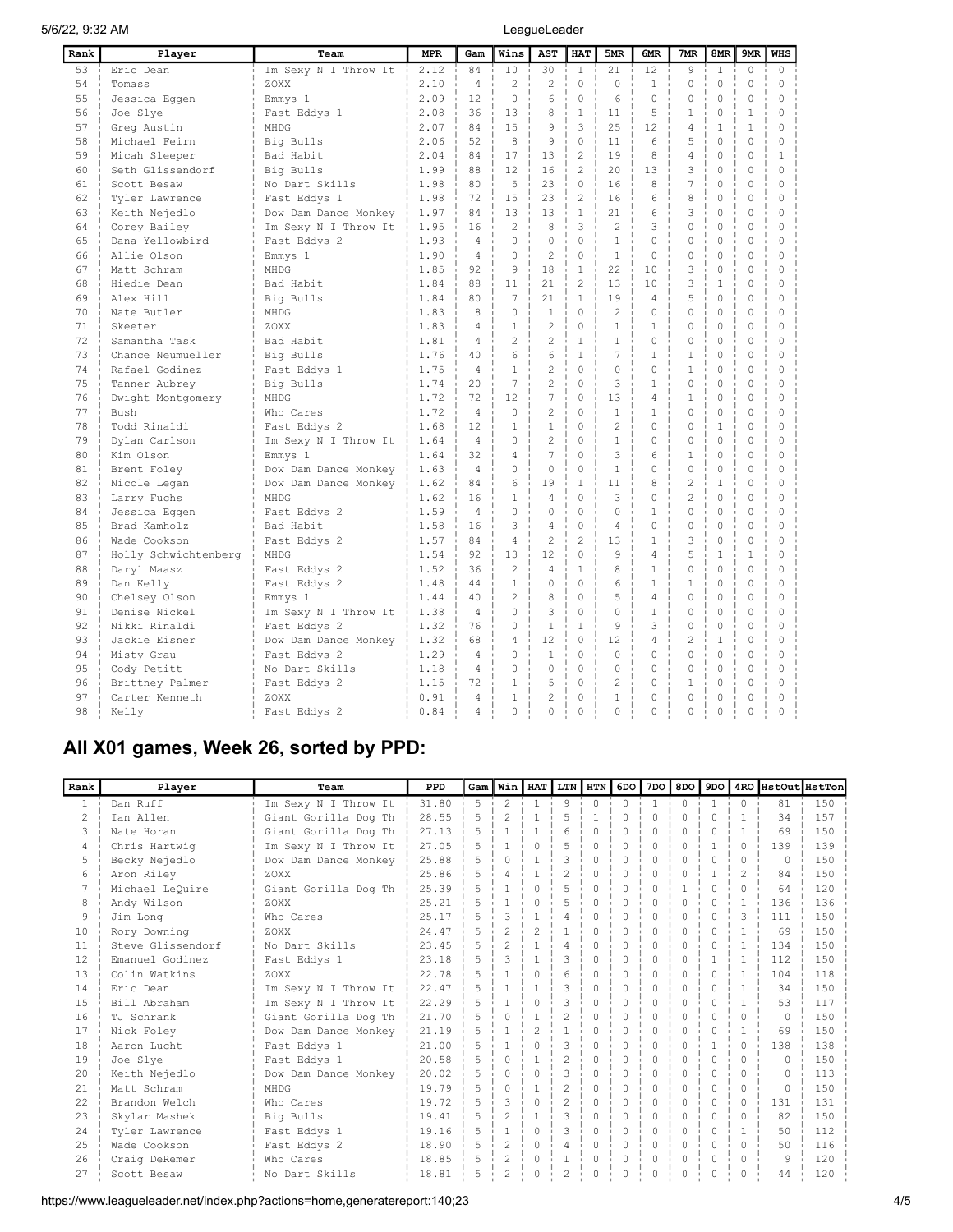| Rank | Player               | Team                 | <b>MPR</b> | Gam            | Wins           | <b>AST</b>               | <b>HAT</b>     | 5MR            | 6MR          | 7MR            | 8MR          | 9MR          | <b>WHS</b>   |
|------|----------------------|----------------------|------------|----------------|----------------|--------------------------|----------------|----------------|--------------|----------------|--------------|--------------|--------------|
| 53   | Eric Dean            | Im Sexy N I Throw It | 2.12       | 84             | 10             | 30                       | $\mathbf{1}$   | 21             | 12           | 9              | $\mathbf{1}$ | $\circ$      | $\circ$      |
| 54   | Tomass               | ZOXX                 | 2.10       | $\overline{4}$ | $\overline{c}$ | $\overline{c}$           | $\Omega$       | $\Omega$       | $\mathbf{1}$ | 0              | 0            | 0            | $\mathbf 0$  |
| 55   | Jessica Eggen        | Emmys 1              | 2.09       | 12             | $\Omega$       | 6                        | $\Omega$       | 6              | $\Omega$     | 0              | 0            | $\Omega$     | $\mathbf 0$  |
| 56   | Joe Slye             | Fast Eddys 1         | 2.08       | 36             | 13             | 8                        | $\mathbf{1}$   | 11             | 5            | 1              | $\Omega$     | $\mathbf{1}$ | $\Omega$     |
| 57   | Greg Austin          | MHDG                 | 2.07       | 84             | 1.5            | 9                        | 3              | 2.5            | 12           | 4              | 1            | 1            | $\Omega$     |
| 58   | Michael Feirn        | Big Bulls            | 2.06       | 52             | 8              | 9                        | $\cap$         | 11             | 6            | 5              | $\Omega$     | $\Omega$     | $\Omega$     |
| 59   | Micah Sleeper        | Bad Habit            | 2.04       | 84             | 17             | 13                       | $\mathfrak{D}$ | 19             | 8            | 4              | 0            | $\Omega$     | $\mathbf{1}$ |
| 60   | Seth Glissendorf     | Big Bulls            | 1.99       | 88             | 12             | 16                       | $\mathfrak{D}$ | 20             | 1.3          | 3              | $\Omega$     | $\Omega$     | $\Omega$     |
| 61   | Scott Besaw          | No Dart Skills       | 1.98       | 80             | 5              | 23                       | $\Omega$       | 16             | 8            | 7              | $\Omega$     | $\Omega$     | $\Omega$     |
| 62   | Tyler Lawrence       | Fast Eddys 1         | 1.98       | 72             | 15             | 23                       | $\overline{2}$ | 16             | 6            | 8              | 0            | 0            | $\mathbf 0$  |
| 63   | Keith Nejedlo        | Dow Dam Dance Monkey | 1.97       | 84             | 1.3            | 13                       | $\mathbf{1}$   | 2.1            | 6            | 3              | 0            | $\Omega$     | $\Omega$     |
| 64   | Corey Bailey         | Im Sexy N I Throw It | 1.95       | 16             | $\overline{c}$ | 8                        | 3              | $\mathfrak{D}$ | 3            | $\Omega$       | 0            | 0            | $\circ$      |
| 65   | Dana Yellowbird      | Fast Eddys 2         | 1.93       | $\overline{4}$ | $\Omega$       | $\Omega$                 | $\Omega$       | $\mathbf{1}$   | $\Omega$     | 0              | 0            | $\mathbf 0$  | $\Omega$     |
| 66   | Allie Olson          | Emmys 1              | 1.90       | 4              | $\Omega$       | $\overline{c}$           | $\Omega$       | $\mathbf{1}$   | $\Omega$     | 0              | $\Omega$     | $\Omega$     | $\Omega$     |
| 67   | Matt Schram          | MHDG                 | 1.85       | 92             | 9              | 18                       | $\mathbf{1}$   | 22             | 10           | 3              | 0            | $\Omega$     | $\Omega$     |
| 68   | Hiedie Dean          | Bad Habit            | 1.84       | 88             | 11             | 21                       | $\mathfrak{D}$ | 13             | 10           | 3              | 1            | $\Omega$     | $\Omega$     |
| 69   | Alex Hill            | Big Bulls            | 1.84       | 80             | 7              | 21                       | $\mathbf{1}$   | 19             | 4            | 5              | $\Omega$     | $\Omega$     | $\Omega$     |
| 70   | Nate Butler          | MHDG                 | 1.83       | 8              | $\Omega$       | $\mathbf{1}$             | $\Omega$       | $\mathfrak{D}$ | $\cap$       | $\Omega$       | 0            | $\Omega$     | $\Omega$     |
| 71   | Skeeter              | ZOXX                 | 1.83       | $\Delta$       | 1              | $\overline{\mathcal{L}}$ | $\Omega$       | $\mathbf{1}$   | $\mathbf{1}$ | 0              | 0            | $\Omega$     | $\Omega$     |
| 72   | Samantha Task        | Bad Habit            | 1.81       | 4              | $\overline{c}$ | $\overline{c}$           | $\mathbf{1}$   | $\mathbf{1}$   | $\Omega$     | 0              | 0            | 0            | $\mathbf 0$  |
| 73   | Chance Neumueller    | Big Bulls            | 1.76       | 40             | 6              | 6                        | $\mathbf{1}$   | $\overline{7}$ | 1            | $\mathbf{1}$   | 0            | $\circ$      | $\mathbf 0$  |
| 74   | Rafael Godinez       | Fast Eddys 1         | 1.75       | $\overline{4}$ | $\mathbf{1}$   | $\overline{c}$           | $\mathbf 0$    | $\Omega$       | 0            | $\mathbf{1}$   | 0            | $\circ$      | $\mathbf 0$  |
| 75   | Tanner Aubrey        | Big Bulls            | 1.74       | 2.0            | $\overline{7}$ | $\overline{c}$           | $\Omega$       | 3              | 1            | $\Omega$       | $\Omega$     | $\Omega$     | $\Omega$     |
| 76   | Dwight Montgomery    | MHDG                 | 1.72       | 72             | 12             | 7                        | $\Omega$       | 13             | 4            | 1              | $\Omega$     | $\Omega$     | $\mathbf 0$  |
| 77   | Bush                 | Who Cares            | 1.72       | $\overline{4}$ | $\Omega$       | $\overline{c}$           | $\Omega$       | $\mathbf{1}$   | 1            | $\Omega$       | $\Omega$     | $\circ$      | $\Omega$     |
| 78   | Todd Rinaldi         | Fast Eddys 2         | 1.68       | 12.            | 1              | 1                        | $\Omega$       | $\mathfrak{D}$ | $\Omega$     | 0              | $\mathbf{1}$ | $\Omega$     | $\Omega$     |
| 79   | Dylan Carlson        | Im Sexy N I Throw It | 1.64       | $\Delta$       | $\Omega$       | $\overline{2}$           | $\Omega$       | $\mathbf{1}$   | $\cap$       | 0              | $\Omega$     | $\Omega$     | $\Omega$     |
| 80   | Kim Olson            | Emmys 1              | 1.64       | 32             | $\overline{4}$ | 7                        | $\Omega$       | 3              | 6            | 1              | $\Omega$     | $\Omega$     | $\Omega$     |
| 81   | Brent Foley          | Dow Dam Dance Monkey | 1.63       | $\Delta$       | $\Omega$       | $\Omega$                 | $\Omega$       | $\mathbf{1}$   | $\cap$       | $\Omega$       | $\Omega$     | $\Omega$     | $\Omega$     |
| 82   | Nicole Legan         | Dow Dam Dance Monkey | 1.62       | 84             | 6              | 19                       | $\mathbf{1}$   | 11             | 8            | $\overline{c}$ | $\mathbf{1}$ | $\Omega$     | $\Omega$     |
| 83   | Larry Fuchs          | MHDG                 | 1.62       | 16             | $\mathbf{1}$   | 4                        | $\Omega$       | 3              | 0            | $\overline{c}$ | 0            | $\mathbf 0$  | $\circ$      |
| 84   | Jessica Eggen        | Fast Eddys 2         | 1.59       | $\overline{4}$ | $\Omega$       | $\Omega$                 | $\Omega$       | $\Omega$       | $\mathbf{1}$ | 0              | 0            | $\circ$      | $\mathbf 0$  |
| 85   | Brad Kamholz         | Bad Habit            | 1.58       | 16             | 3              | 4                        | $\Omega$       | $\overline{4}$ | $\Omega$     | 0              | 0            | $\Omega$     | $\mathbf 0$  |
| 86   | Wade Cookson         | Fast Eddys 2         | 1.57       | 84             | $\overline{4}$ | $\overline{c}$           | $\overline{2}$ | 13             | 1            | 3              | $\Omega$     | $\Omega$     | $\mathbf 0$  |
| 87   | Holly Schwichtenberg | MHDG                 | 1.54       | 92             | 13             | 12                       | $\Omega$       | 9              | 4            | 5              | 1            | $\mathbf{1}$ | $\Omega$     |
| 88   | Daryl Maasz          | Fast Eddys 2         | 1.52       | 36             | $\overline{c}$ | $\overline{4}$           | $\mathbf{1}$   | 8              | $\mathbf{1}$ | $\Omega$       | $\Omega$     | $\Omega$     | $\Omega$     |
| 89   | Dan Kelly            | Fast Eddys 2         | 1.48       | 44             | 1              | $\Omega$                 | $\Omega$       | 6              | 1            | $\mathbf{1}$   | 0            | $\Omega$     | $\Omega$     |
| 90   | Chelsey Olson        | Emmys 1              | 1.44       | 40             | $\mathfrak{D}$ | 8                        | $\cap$         | 5              | 4            | 0              | $\Omega$     | $\Omega$     | $\Omega$     |
| 91   | Denise Nickel        | Im Sexy N I Throw It | 1.38       | $\overline{4}$ | $\Omega$       | 3                        | $\Omega$       | $\Omega$       | $\mathbf{1}$ | 0              | 0            | $\Omega$     | $\Omega$     |
| 92   | Nikki Rinaldi        | Fast Eddys 2         | 1.32       | 76             | $\Omega$       | $\mathbf{1}$             | $\mathbf{1}$   | 9              | 3            | 0              | $\Omega$     | $\Omega$     | $\Omega$     |
| 93   | Jackie Eisner        | Dow Dam Dance Monkey | 1.32       | 68             | $\overline{4}$ | 12                       | $\cap$         | 12             | 4            | $\overline{c}$ | $\mathbf{1}$ | $\Omega$     | $\Omega$     |
| 94   | Misty Grau           | Fast Eddys 2         | 1.29       | $\overline{4}$ | $\Omega$       | $\mathbf{1}$             | $\Omega$       | $\Omega$       | $\Omega$     | $\Omega$       | $\Omega$     | $\Omega$     | $\circ$      |
| 95   | Cody Petitt          | No Dart Skills       | 1.18       | $\overline{4}$ | 0              | 0                        | $\mathbf 0$    | $\circ$        | $\Omega$     | 0              | 0            | $\circ$      | $\circ$      |
| 96   | Brittney Palmer      | Fast Eddys 2         | 1.15       | 72             | $\mathbf{1}$   | 5                        | $\Omega$       | $\overline{2}$ | $\Omega$     | $\mathbf{1}$   | 0            | 0            | $\Omega$     |
| 97   | Carter Kenneth       | ZOXX                 | 0.91       | $\overline{4}$ | 1              | $\overline{2}$           | $\Omega$       | $\mathbf{1}$   | $\Omega$     | $\Omega$       | 0            | $\Omega$     | $\Omega$     |
| 98   | Kelly                | Fast Eddys 2         | 0.84       | 4              | $\Omega$       | 0                        | $\Omega$       | $\Omega$       | $\Omega$     | $\Omega$       | 0            | $\Omega$     | $\Omega$     |

# All X01 games, Week 26, sorted by PPD:

| Rank          | Player            | Team                 | PPD   | Gam            | Winl           | <b>HAT</b>     | LTN                      | htn I    | 6DO       | 7DO          | 8DO          | 9DO          |               |           | 4RO HstOut HstTon |
|---------------|-------------------|----------------------|-------|----------------|----------------|----------------|--------------------------|----------|-----------|--------------|--------------|--------------|---------------|-----------|-------------------|
| $\mathbf{1}$  | Dan Ruff          | Im Sexy N I Throw It | 31.80 | 5              | $\mathcal{L}$  | $\mathbf{1}$   | 9                        | $\cap$   | $\Omega$  | $\mathbf{1}$ | $\Omega$     | $\mathbf{1}$ | $\Omega$      | 81        | 150               |
| $\mathcal{L}$ | Ian Allen         | Giant Gorilla Dog Th | 28.55 | 5              | $\overline{c}$ | $\overline{1}$ | 5                        | 1        | $\Omega$  | $\Omega$     | $\cap$       | $\Omega$     | $\mathbf{1}$  | 34        | 157               |
| 3             | Nate Horan        | Giant Gorilla Dog Th | 27.13 | 5              |                |                | 6                        | $\cap$   | $\Omega$  | Λ            | $\bigcap$    | $\Omega$     | $\mathbf{1}$  | 69        | 150               |
| 4             | Chris Hartwig     | Im Sexy N I Throw It | 27.05 | 5              |                | $\Omega$       | 5                        | $\cap$   | $\cap$    | Λ            | $\cap$       |              | $\cap$        | 139       | 139               |
| 5             | Becky Nejedlo     | Dow Dam Dance Monkey | 25.88 | 5              |                |                | 3                        | $\cap$   | $\bigcap$ | U            | $\cap$       | $\Omega$     | $\cap$        | $\cap$    | 150               |
| 6             | Aron Riley        | ZOXX                 | 25.86 | 5              | Δ              |                | $\overline{\mathcal{L}}$ | $\Omega$ | $\Omega$  | Λ            | $\cap$       |              | $\mathcal{L}$ | 84        | 150               |
|               | Michael LeOuire   | Giant Gorilla Dog Th | 25.39 | 5              |                | $\cap$         | 5                        | $\Omega$ | $\bigcap$ | O            |              | $\Omega$     | $\cap$        | 64        | 120               |
| 8             | Andy Wilson       | ZOXX                 | 25.21 | 5              |                |                | 5                        | $\cap$   | $\Omega$  | O            |              | $\Omega$     | $\mathbf{1}$  | 136       | 136               |
| 9             | Jim Long          | Who Cares            | 25.17 | 5              |                |                | 4                        | $\Omega$ | $\bigcap$ | O            | <sup>n</sup> | $\Omega$     | 3             | 111       | 150               |
| 10            | Rory Downing      | ZOXX                 | 24.47 | 5              |                | $\mathfrak{D}$ |                          | $\cap$   | $\bigcap$ | O            | <sup>n</sup> | $\Omega$     | $\mathbf{1}$  | 69        | 150               |
| 11            | Steve Glissendorf | No Dart Skills       | 23.45 | 5              | $\mathfrak{D}$ |                | 4                        | $\cap$   | O         | Λ            | n.           | $\Omega$     | $\mathbf{1}$  | 134       | 150               |
| 12            | Emanuel Godinez   | Fast Eddys 1         | 23.18 | 5              | $\mathcal{L}$  |                | 3                        | $\Omega$ | $\bigcap$ | O            | $\cap$       | 1            | $\mathbf{1}$  | 112       | 150               |
| 13            | Colin Watkins     | ZOXX                 | 22.78 | 5              |                | $\Omega$       | 6                        | $\Omega$ | $\Omega$  | 0            | $\Omega$     | $\Omega$     | $\mathbf{1}$  | 104       | 118               |
| 14            | Eric Dean         | Im Sexy N I Throw It | 22.47 | 5              |                |                | $\mathcal{L}$            | $\Omega$ |           | Λ            |              | $\Omega$     | 1             | 34        | 150               |
| 1.5           | Bill Abraham      | Im Sexy N I Throw It | 22.29 | 5              |                | $\bigcap$      | $\mathcal{R}$            | $\cap$   | $\cap$    | U            | $\cap$       | $\Omega$     | $\mathbf{1}$  | 53        | 117               |
| 16            | TJ Schrank        | Giant Gorilla Dog Th | 21.70 | 5              |                | $\overline{1}$ | $\overline{\mathcal{L}}$ | $\Omega$ | $\Omega$  | O            | $\Omega$     | $\Omega$     | $\cap$        | $\cap$    | 150               |
| 17            | Nick Foley        | Dow Dam Dance Monkey | 21.19 | 5              |                |                |                          | $\Omega$ | $\cap$    | Λ            | ∩            | $\Omega$     | 1             | 69        | 150               |
| 18            | Aaron Lucht       | Fast Eddys 1         | 21.00 | 5              |                |                | $\mathcal{R}$            | $\cap$   |           | Λ            | n.           |              | $\cap$        | 138       | 138               |
| 19            | Joe Slye          | Fast Eddys 1         | 20.58 | 5              |                | $\overline{1}$ | $\overline{\mathcal{L}}$ | $\cap$   | $\Omega$  | O            | $\cap$       | $\Omega$     | $\Omega$      | $\bigcap$ | 150               |
| $20^{\circ}$  | Keith Nejedlo     | Dow Dam Dance Monkey | 20.02 | 5              |                | $\cap$         | 3                        | O        | O         | Λ            | <sup>n</sup> | O            | $\cap$        | O.        | 113               |
| 21            | Matt Schram       | MHDG                 | 19.79 | 5              |                |                | $\overline{\mathcal{L}}$ | $\Omega$ |           | O            | <sup>n</sup> | O            | $\cap$        | O         | 150               |
| 22.2          | Brandon Welch     | Who Cares            | 19.72 | $\overline{a}$ | $\mathcal{L}$  | $\Omega$       | $\overline{\mathcal{L}}$ | $\cap$   | $\Omega$  | O            | $\cap$       | $\Omega$     | $\cap$        | 131       | 131               |
| 23            | Skylar Mashek     | Big Bulls            | 19.41 | 5              |                |                | 3                        | $\Omega$ | $\Omega$  | 0            | $\cap$       | $\Omega$     | $\cap$        | 82        | 150               |
| 2.4           | Tyler Lawrence    | Fast Eddys 1         | 19.16 | 5.             |                |                | 3                        | $\cap$   |           | U            | ∩            | O            | $\mathbf{1}$  | 50        | 112               |
| 2.5           | Wade Cookson      | Fast Eddys 2         | 18.90 | 5              | $\mathfrak{D}$ | $\cap$         | 4                        | $\cap$   | O         | Λ            | <sup>n</sup> | O            | $\cap$        | 50        | 116               |
| 26            | Craig DeRemer     | Who Cares            | 18.85 | 5              | $\mathfrak{D}$ | $\bigcap$      | 1                        | $\Omega$ | $\cap$    | 0            | $\cap$       | $\Omega$     | $\cap$        | Q         | 120               |
| 27            | Scott Besaw       | No Dart Skills       | 18.81 |                | $\overline{c}$ | $\cap$         | $\overline{\mathcal{L}}$ | O        | $\Omega$  | 0            | $\cap$       | $\Omega$     | $\Omega$      | 44        | 120               |

https://www.leagueleader.net/index.php?actions=home,generatereport:140;23 4/5